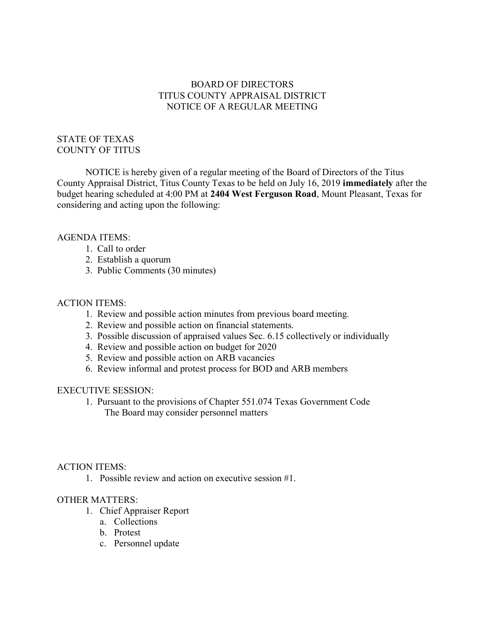# BOARD OF DIRECTORS TITUS COUNTY APPRAISAL DISTRICT NOTICE OF A REGULAR MEETING

### STATE OF TEXAS COUNTY OF TITUS

NOTICE is hereby given of a regular meeting of the Board of Directors of the Titus County Appraisal District, Titus County Texas to be held on July 16, 2019 **immediately** after the budget hearing scheduled at 4:00 PM at **2404 West Ferguson Road**, Mount Pleasant, Texas for considering and acting upon the following:

# AGENDA ITEMS:

- 1. Call to order
- 2. Establish a quorum
- 3. Public Comments (30 minutes)

### ACTION ITEMS:

- 1. Review and possible action minutes from previous board meeting.
- 2. Review and possible action on financial statements.
- 3. Possible discussion of appraised values Sec. 6.15 collectively or individually
- 4. Review and possible action on budget for 2020
- 5. Review and possible action on ARB vacancies
- 6. Review informal and protest process for BOD and ARB members

### EXECUTIVE SESSION:

1. Pursuant to the provisions of Chapter 551.074 Texas Government Code The Board may consider personnel matters

### ACTION ITEMS:

1. Possible review and action on executive session #1.

### OTHER MATTERS:

- 1. Chief Appraiser Report
	- a. Collections
	- b. Protest
	- c. Personnel update